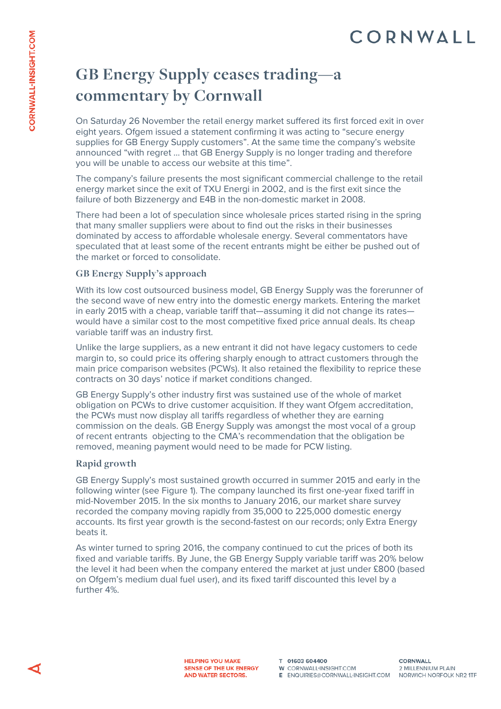## **GB Energy Supply ceases trading—a commentary by Cornwall**

On Saturday 26 November the retail energy market suffered its first forced exit in over eight years. Ofgem issued a statement confirming it was acting to "secure energy supplies for GB Energy Supply customers". At the same time the company's website announced "with regret … that GB Energy Supply is no longer trading and therefore you will be unable to access our website at this time".

The company's failure presents the most significant commercial challenge to the retail energy market since the exit of TXU Energi in 2002, and is the first exit since the failure of both Bizzenergy and E4B in the non-domestic market in 2008.

There had been a lot of speculation since wholesale prices started rising in the spring that many smaller suppliers were about to find out the risks in their businesses dominated by access to affordable wholesale energy. Several commentators have speculated that at least some of the recent entrants might be either be pushed out of the market or forced to consolidate.

### **GB Energy Supply's approach**

With its low cost outsourced business model, GB Energy Supply was the forerunner of the second wave of new entry into the domestic energy markets. Entering the market in early 2015 with a cheap, variable tariff that—assuming it did not change its rates would have a similar cost to the most competitive fixed price annual deals. Its cheap variable tariff was an industry first.

Unlike the large suppliers, as a new entrant it did not have legacy customers to cede margin to, so could price its offering sharply enough to attract customers through the main price comparison websites (PCWs). It also retained the flexibility to reprice these contracts on 30 days' notice if market conditions changed.

GB Energy Supply's other industry first was sustained use of the whole of market obligation on PCWs to drive customer acquisition. If they want Ofgem accreditation, the PCWs must now display all tariffs regardless of whether they are earning commission on the deals. GB Energy Supply was amongst the most vocal of a group of recent entrants objecting to the CMA's recommendation that the obligation be removed, meaning payment would need to be made for PCW listing.

#### **Rapid growth**

GB Energy Supply's most sustained growth occurred in summer 2015 and early in the following winter (see Figure 1). The company launched its first one-year fixed tariff in mid-November 2015. In the six months to January 2016, our market share survey recorded the company moving rapidly from 35,000 to 225,000 domestic energy accounts. Its first year growth is the second-fastest on our records; only Extra Energy beats it.

As winter turned to spring 2016, the company continued to cut the prices of both its fixed and variable tariffs. By June, the GB Energy Supply variable tariff was 20% below the level it had been when the company entered the market at just under £800 (based on Ofgem's medium dual fuel user), and its fixed tariff discounted this level by a further 4%.

T 01603 604400 W CORNWALL-INSIGHT.COM E ENQUIRIES@CORNWALL-INSIGHT.COM NORWICH NORFOLK NR2 1TF

**CORNWALL** 2 MILLENNIUM PLAIN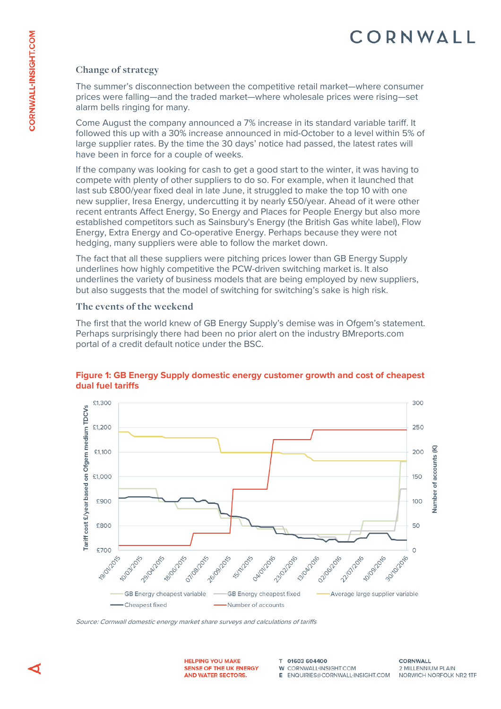### **Change of strategy**

The summer's disconnection between the competitive retail market—where consumer prices were falling—and the traded market—where wholesale prices were rising—set alarm bells ringing for many.

Come August the company announced a 7% increase in its standard variable tariff. It followed this up with a 30% increase announced in mid-October to a level within 5% of large supplier rates. By the time the 30 days' notice had passed, the latest rates will have been in force for a couple of weeks.

If the company was looking for cash to get a good start to the winter, it was having to compete with plenty of other suppliers to do so. For example, when it launched that last sub £800/year fixed deal in late June, it struggled to make the top 10 with one new supplier, Iresa Energy, undercutting it by nearly £50/year. Ahead of it were other recent entrants Affect Energy, So Energy and Places for People Energy but also more established competitors such as Sainsbury's Energy (the British Gas white label), Flow Energy, Extra Energy and Co-operative Energy. Perhaps because they were not hedging, many suppliers were able to follow the market down.

The fact that all these suppliers were pitching prices lower than GB Energy Supply underlines how highly competitive the PCW-driven switching market is. It also underlines the variety of business models that are being employed by new suppliers, but also suggests that the model of switching for switching's sake is high risk.

### **The events of the weekend**

The first that the world knew of GB Energy Supply's demise was in Ofgem's statement. Perhaps surprisingly there had been no prior alert on the industry BMreports.com portal of a credit default notice under the BSC.



### **Figure 1: GB Energy Supply domestic energy customer growth and cost of cheapest dual fuel tariffs**

Source: Cornwall domestic energy market share surveys and calculations of tariffs

**HELPING YOU MAKE** SENSE OF THE UK ENERGY AND WATER SECTORS.

T 01603 604400 W. CORNWALL-INSIGHT COM E FNOUIRIES@CORNWALL-INSIGHT.COM

**CORNWALL** 2 MILLENNIUM PLAIN NORWICH NORFOLK NR2 1TF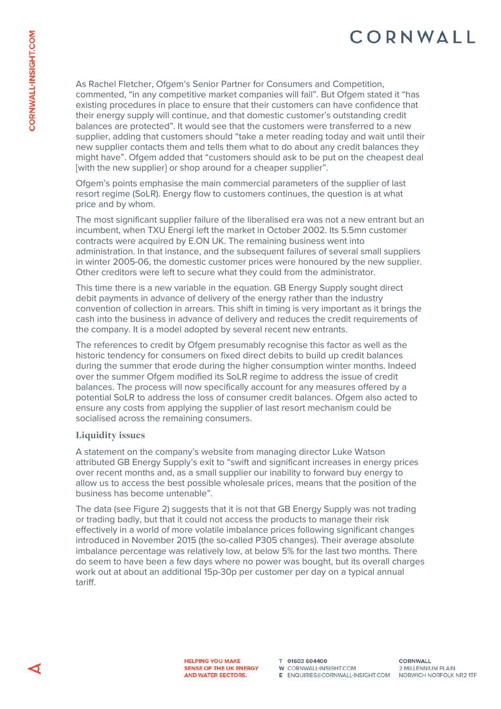As Rachel Fletcher, Ofgem's Senior Partner for Consumers and Competition, commented, "in any competitive market companies will fail". But Ofgem stated it "has existing procedures in place to ensure that their customers can have confidence that their energy supply will continue, and that domestic customer's outstanding credit balances are protected". It would see that the customers were transferred to a new supplier, adding that customers should "take a meter reading today and wait until their new supplier contacts them and tells them what to do about any credit balances they might have". Ofgem added that "customers should ask to be put on the cheapest deal [with the new supplier] or shop around for a cheaper supplier".

Ofgem's points emphasise the main commercial parameters of the supplier of last resort regime (SoLR). Energy flow to customers continues, the question is at what price and by whom.

The most significant supplier failure of the liberalised era was not a new entrant but an incumbent, when TXU Energi left the market in October 2002. Its 5.5mn customer contracts were acquired by E.ON UK. The remaining business went into administration. In that instance, and the subsequent failures of several small suppliers in winter 2005-06, the domestic customer prices were honoured by the new supplier. Other creditors were left to secure what they could from the administrator.

This time there is a new variable in the equation. GB Energy Supply sought direct debit payments in advance of delivery of the energy rather than the industry convention of collection in arrears. This shift in timing is very important as it brings the cash into the business in advance of delivery and reduces the credit requirements of the company. It is a model adopted by several recent new entrants.

The references to credit by Ofgem presumably recognise this factor as well as the historic tendency for consumers on fixed direct debits to build up credit balances during the summer that erode during the higher consumption winter months. Indeed over the summer Ofgem modified its SoLR regime to address the issue of credit balances. The process will now specifically account for any measures offered by a potential SoLR to address the loss of consumer credit balances. Ofgem also acted to ensure any costs from applying the supplier of last resort mechanism could be socialised across the remaining consumers.

#### **Liquidity issues**

A statement on the company's website from managing director Luke Watson attributed GB Energy Supply's exit to "swift and significant increases in energy prices over recent months and, as a small supplier our inability to forward buy energy to allow us to access the best possible wholesale prices, means that the position of the business has become untenable".

The data (see Figure 2) suggests that it is not that GB Energy Supply was not trading or trading badly, but that it could not access the products to manage their risk effectively in a world of more volatile imbalance prices following significant changes introduced in November 2015 (the so-called P305 changes). Their average absolute imbalance percentage was relatively low, at below 5% for the last two months. There do seem to have been a few days where no power was bought, but its overall charges work out at about an additional 15p-30p per customer per day on a typical annual tariff.

T 01603 604400 W CORNWALL-INSIGHT.COM E ENQUIRIES@CORNWALL-INSIGHT.COM NORWICH NORFOLK NR2 1TF

**CORNWALL** 2 MILLENNIUM PLAIN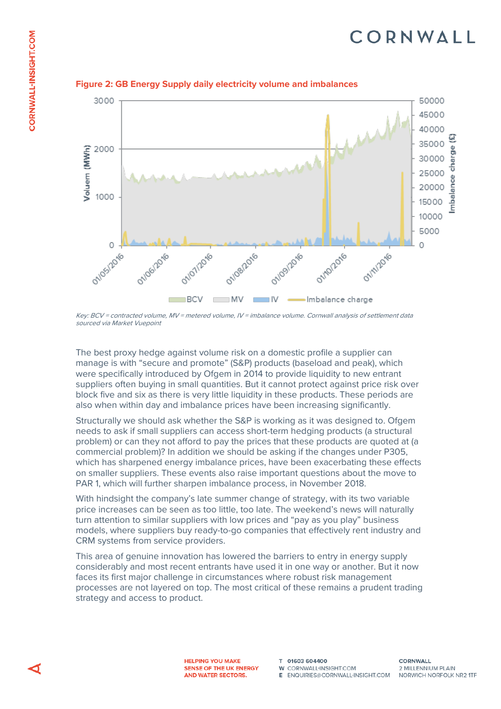

#### **Figure 2: GB Energy Supply daily electricity volume and imbalances**

Key: BCV = contracted volume, MV = metered volume, IV = imbalance volume. Cornwall analysis of settlement data sourced via Market Vuepoint

The best proxy hedge against volume risk on a domestic profile a supplier can manage is with "secure and promote" (S&P) products (baseload and peak), which were specifically introduced by Ofgem in 2014 to provide liquidity to new entrant suppliers often buying in small quantities. But it cannot protect against price risk over block five and six as there is very little liquidity in these products. These periods are also when within day and imbalance prices have been increasing significantly.

Structurally we should ask whether the S&P is working as it was designed to. Ofgem needs to ask if small suppliers can access short-term hedging products (a structural problem) or can they not afford to pay the prices that these products are quoted at (a commercial problem)? In addition we should be asking if the changes under P305, which has sharpened energy imbalance prices, have been exacerbating these effects on smaller suppliers. These events also raise important questions about the move to PAR 1, which will further sharpen imbalance process, in November 2018.

With hindsight the company's late summer change of strategy, with its two variable price increases can be seen as too little, too late. The weekend's news will naturally turn attention to similar suppliers with low prices and "pay as you play" business models, where suppliers buy ready-to-go companies that effectively rent industry and CRM systems from service providers.

This area of genuine innovation has lowered the barriers to entry in energy supply considerably and most recent entrants have used it in one way or another. But it now faces its first major challenge in circumstances where robust risk management processes are not layered on top. The most critical of these remains a prudent trading strategy and access to product.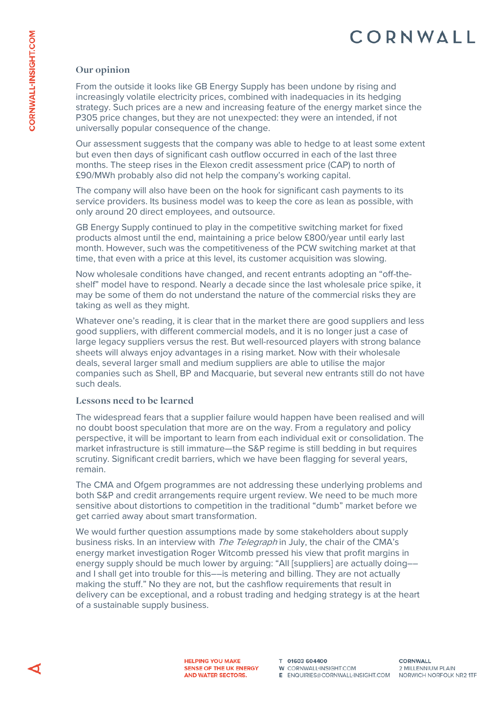### **Our opinion**

From the outside it looks like GB Energy Supply has been undone by rising and increasingly volatile electricity prices, combined with inadequacies in its hedging strategy. Such prices are a new and increasing feature of the energy market since the P305 price changes, but they are not unexpected: they were an intended, if not universally popular consequence of the change.

Our assessment suggests that the company was able to hedge to at least some extent but even then days of significant cash outflow occurred in each of the last three months. The steep rises in the Elexon credit assessment price (CAP) to north of £90/MWh probably also did not help the company's working capital.

The company will also have been on the hook for significant cash payments to its service providers. Its business model was to keep the core as lean as possible, with only around 20 direct employees, and outsource.

GB Energy Supply continued to play in the competitive switching market for fixed products almost until the end, maintaining a price below £800/year until early last month. However, such was the competitiveness of the PCW switching market at that time, that even with a price at this level, its customer acquisition was slowing.

Now wholesale conditions have changed, and recent entrants adopting an "off-theshelf" model have to respond. Nearly a decade since the last wholesale price spike, it may be some of them do not understand the nature of the commercial risks they are taking as well as they might.

Whatever one's reading, it is clear that in the market there are good suppliers and less good suppliers, with different commercial models, and it is no longer just a case of large legacy suppliers versus the rest. But well-resourced players with strong balance sheets will always enjoy advantages in a rising market. Now with their wholesale deals, several larger small and medium suppliers are able to utilise the major companies such as Shell, BP and Macquarie, but several new entrants still do not have such deals.

### **Lessons need to be learned**

The widespread fears that a supplier failure would happen have been realised and will no doubt boost speculation that more are on the way. From a regulatory and policy perspective, it will be important to learn from each individual exit or consolidation. The market infrastructure is still immature—the S&P regime is still bedding in but requires scrutiny. Significant credit barriers, which we have been flagging for several years, remain.

The CMA and Ofgem programmes are not addressing these underlying problems and both S&P and credit arrangements require urgent review. We need to be much more sensitive about distortions to competition in the traditional "dumb" market before we get carried away about smart transformation.

We would further question assumptions made by some stakeholders about supply business risks. In an interview with *The Telegraph* in July, the chair of the CMA's energy market investigation Roger Witcomb pressed his view that profit margins in energy supply should be much lower by arguing: "All [suppliers] are actually doing–– and I shall get into trouble for this––is metering and billing. They are not actually making the stuff." No they are not, but the cashflow requirements that result in delivery can be exceptional, and a robust trading and hedging strategy is at the heart of a sustainable supply business.

> **HELPING YOU MAKE** SENSE OF THE UK ENERGY AND WATER SECTORS.

T 01603 604400 **W** CORNWALL-INSIGHT.COM E ENQUIRIES@CORNWALL-INSIGHT.COM NORWICH NORFOLK NR2 1TF

**CORNWALL** 2 MILLENNIUM PLAIN